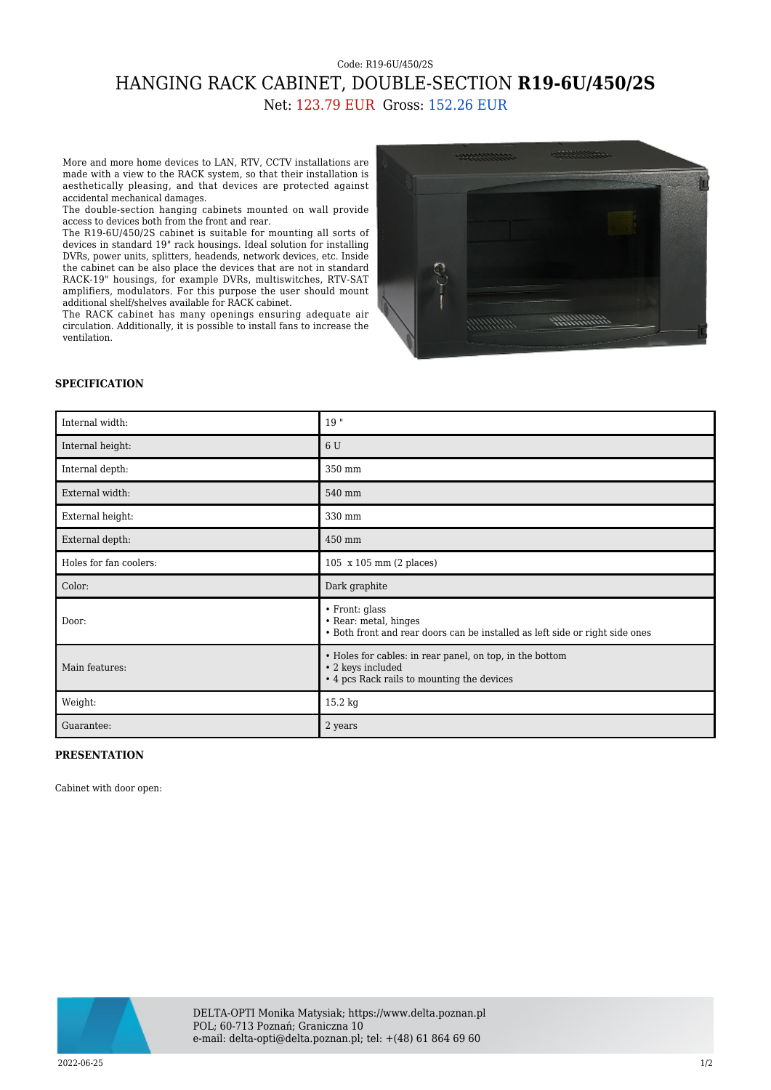## Code: R19-6U/450/2S HANGING RACK CABINET, DOUBLE-SECTION **R19-6U/450/2S** Net: 123.79 EUR Gross: 152.26 EUR

More and more home devices to LAN, RTV, CCTV installations are made with a view to the RACK system, so that their installation is aesthetically pleasing, and that devices are protected against accidental mechanical damages.

The double-section hanging cabinets mounted on wall provide access to devices both from the front and rear.

The R19-6U/450/2S cabinet is suitable for mounting all sorts of devices in standard 19" rack housings. Ideal solution for installing DVRs, power units, splitters, headends, network devices, etc. Inside the cabinet can be also place the devices that are not in standard RACK-19" housings, for example DVRs, multiswitches, RTV-SAT amplifiers, modulators. For this purpose the user should mount additional shelf/shelves available for RACK cabinet.

The RACK cabinet has many openings ensuring adequate air circulation. Additionally, it is possible to install fans to increase the ventilation.



## **SPECIFICATION**

| Internal width:        | 19"                                                                                                                         |
|------------------------|-----------------------------------------------------------------------------------------------------------------------------|
| Internal height:       | 6 U                                                                                                                         |
| Internal depth:        | 350 mm                                                                                                                      |
| External width:        | 540 mm                                                                                                                      |
| External height:       | 330 mm                                                                                                                      |
| External depth:        | 450 mm                                                                                                                      |
| Holes for fan coolers: | 105 x 105 mm (2 places)                                                                                                     |
| Color:                 | Dark graphite                                                                                                               |
| Door:                  | • Front: glass<br>• Rear: metal, hinges<br>• Both front and rear doors can be installed as left side or right side ones     |
| Main features:         | • Holes for cables: in rear panel, on top, in the bottom<br>• 2 keys included<br>• 4 pcs Rack rails to mounting the devices |
| Weight:                | 15.2 kg                                                                                                                     |
| Guarantee:             | 2 years                                                                                                                     |

## **PRESENTATION**

Cabinet with door open: